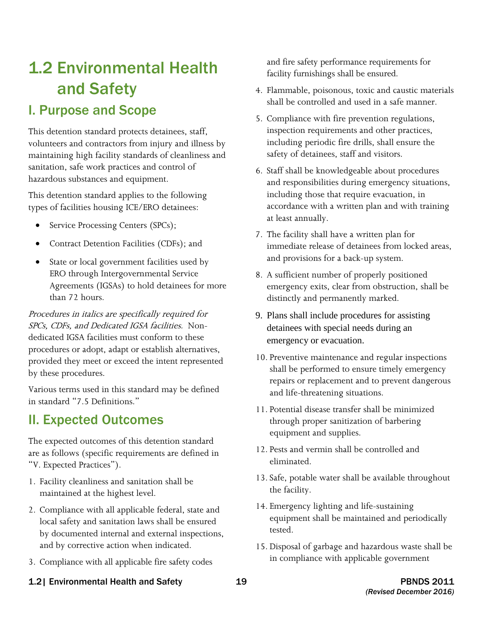# 1.2 Environmental Health and Safety

## I. Purpose and Scope

 volunteers and contractors from injury and illness by This detention standard protects detainees, staff, maintaining high facility standards of cleanliness and sanitation, safe work practices and control of hazardous substances and equipment.

This detention standard applies to the following types of facilities housing ICE/ERO detainees:

- Service Processing Centers (SPCs);
- Contract Detention Facilities (CDFs); and
- State or local government facilities used by ERO through Intergovernmental Service Agreements (IGSAs) to hold detainees for more than 72 hours.

 SPCs, CDFs, and Dedicated IGSA facilities. Non-Procedures in italics are specifically required for dedicated IGSA facilities must conform to these procedures or adopt, adapt or establish alternatives, provided they meet or exceed the intent represented by these procedures.

Various terms used in this standard may be defined in standard "7.5 Definitions."

## II. Expected Outcomes

The expected outcomes of this detention standard are as follows (specific requirements are defined in "V. Expected Practices").

- 1. Facility cleanliness and sanitation shall be maintained at the highest level.
- 2. Compliance with all applicable federal, state and local safety and sanitation laws shall be ensured by documented internal and external inspections, and by corrective action when indicated.
- 3. Compliance with all applicable fire safety codes

and fire safety performance requirements for facility furnishings shall be ensured.

- 4. Flammable, poisonous, toxic and caustic materials shall be controlled and used in a safe manner.
- 5. Compliance with fire prevention regulations, inspection requirements and other practices, including periodic fire drills, shall ensure the safety of detainees, staff and visitors.
- 6. Staff shall be knowledgeable about procedures and responsibilities during emergency situations, including those that require evacuation, in accordance with a written plan and with training at least annually.
- 7. The facility shall have a written plan for immediate release of detainees from locked areas, and provisions for a back-up system.
- 8. A sufficient number of properly positioned emergency exits, clear from obstruction, shall be distinctly and permanently marked.
- 9. Plans shall include procedures for assisting detainees with special needs during an emergency or evacuation.
- 10. Preventive maintenance and regular inspections shall be performed to ensure timely emergency repairs or replacement and to prevent dangerous and life-threatening situations.
- 11. Potential disease transfer shall be minimized through proper sanitization of barbering equipment and supplies.
- 12. Pests and vermin shall be controlled and eliminated.
- 13. Safe, potable water shall be available throughout the facility.
- 14. Emergency lighting and life-sustaining equipment shall be maintained and periodically tested.
- 15. Disposal of garbage and hazardous waste shall be in compliance with applicable government
- 1.2| Environmental Health and Safety 19 19 19 19 12| PBNDS 2011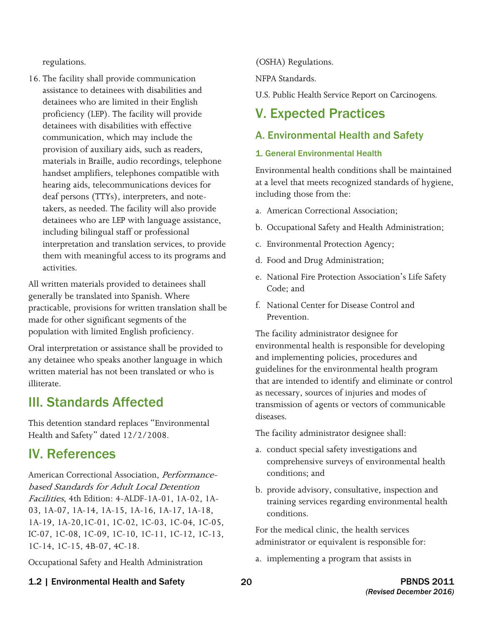regulations.

16. The facility shall provide communication assistance to detainees with disabilities and detainees who are limited in their English proficiency (LEP). The facility will provide detainees with disabilities with effective communication, which may include the provision of auxiliary aids, such as readers, materials in Braille, audio recordings, telephone handset amplifiers, telephones compatible with hearing aids, telecommunications devices for deaf persons (TTYs), interpreters, and notetakers, as needed. The facility will also provide detainees who are LEP with language assistance, including bilingual staff or professional interpretation and translation services, to provide them with meaningful access to its programs and activities.

All written materials provided to detainees shall generally be translated into Spanish. Where practicable, provisions for written translation shall be made for other significant segments of the population with limited English proficiency.

Oral interpretation or assistance shall be provided to any detainee who speaks another language in which written material has not been translated or who is illiterate.

## III. Standards Affected

This detention standard replaces "Environmental Health and Safety" dated 12/2/2008.

## IV. References

American Correctional Association, Performancebased Standards for Adult Local Detention Facilities, 4th Edition: 4-ALDF-1A-01, 1A-02, 1A-03, 1A-07, 1A-14, 1A-15, 1A-16, 1A-17, 1A-18, 1A-19, 1A-20,1C-01, 1C-02, 1C-03, 1C-04, 1C-05, IC-07, 1C-08, 1C-09, 1C-10, 1C-11, 1C-12, 1C-13, 1C-14, 1C-15, 4B-07, 4C-18.

Occupational Safety and Health Administration

(OSHA) Regulations.

NFPA Standards.

U.S. Public Health Service Report on Carcinogens.

## V. Expected Practices

## A. Environmental Health and Safety

### 1. General Environmental Health

Environmental health conditions shall be maintained at a level that meets recognized standards of hygiene, including those from the:

- a. American Correctional Association;
- b. Occupational Safety and Health Administration;
- c. Environmental Protection Agency;
- d. Food and Drug Administration;
- e. National Fire Protection Association's Life Safety Code; and
- f. National Center for Disease Control and Prevention.

The facility administrator designee for environmental health is responsible for developing and implementing policies, procedures and guidelines for the environmental health program that are intended to identify and eliminate or control as necessary, sources of injuries and modes of transmission of agents or vectors of communicable diseases.

The facility administrator designee shall:

- a. conduct special safety investigations and comprehensive surveys of environmental health conditions; and
- b. provide advisory, consultative, inspection and training services regarding environmental health conditions.

For the medical clinic, the health services administrator or equivalent is responsible for:

a. implementing a program that assists in

## 1.2 | Environmental Health and Safety 20 20 The Second Late of the PBNDS 2011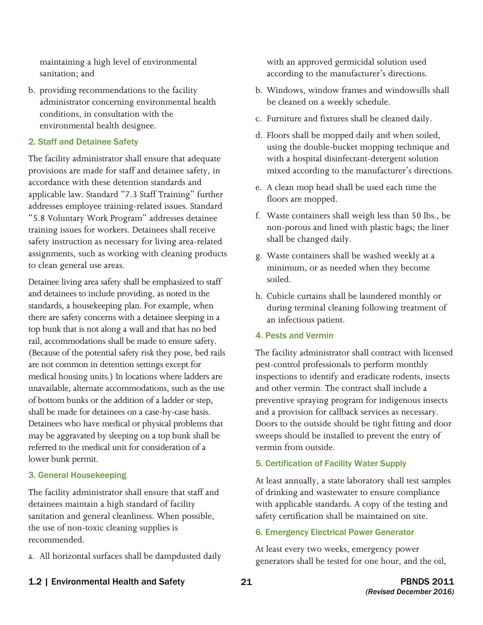maintaining a high level of environmental sanitation; and

b. providing recommendations to the facility administrator concerning environmental health conditions, in consultation with the environmental health designee.

#### 2. Staff and Detainee Safety

The facility administrator shall ensure that adequate provisions are made for staff and detainee safety, in accordance with these detention standards and applicable law. Standard "7.3 Staff Training" further addresses employee training-related issues. Standard "5.8 Voluntary Work Program" addresses detainee training issues for workers. Detainees shall receive safety instruction as necessary for living area-related assignments, such as working with cleaning products to clean general use areas.

 Detainee living area safety shall be emphasized to staff and detainees to include providing, as noted in the standards, a housekeeping plan. For example, when (Because of the potential safety risk they pose, bed rails medical housing units.) In locations where ladders are of bottom bunks or the addition of a ladder or step, may be aggravated by sleeping on a top bunk shall be referred to the medical unit for consideration of a there are safety concerns with a detainee sleeping in a top bunk that is not along a wall and that has no bed rail, accommodations shall be made to ensure safety. are not common in detention settings except for unavailable, alternate accommodations, such as the use shall be made for detainees on a case-by-case basis. Detainees who have medical or physical problems that lower bunk permit.

#### 3. General Housekeeping

The facility administrator shall ensure that staff and detainees maintain a high standard of facility sanitation and general cleanliness. When possible, the use of non-toxic cleaning supplies is recommended.

a. All horizontal surfaces shall be dampdusted daily

with an approved germicidal solution used according to the manufacturer's directions.

- b. Windows, window frames and windowsills shall be cleaned on a weekly schedule.
- c. Furniture and fixtures shall be cleaned daily.
- d. Floors shall be mopped daily and when soiled, using the double-bucket mopping technique and with a hospital disinfectant-detergent solution mixed according to the manufacturer's directions.
- e. A clean mop head shall be used each time the floors are mopped.
- f. Waste containers shall weigh less than 50 lbs., be non-porous and lined with plastic bags; the liner shall be changed daily.
- g. Waste containers shall be washed weekly at a minimum, or as needed when they become soiled.
- h. Cubicle curtains shall be laundered monthly or during terminal cleaning following treatment of an infectious patient.

#### 4. Pests and Vermin

The facility administrator shall contract with licensed pest-control professionals to perform monthly inspections to identify and eradicate rodents, insects and other vermin. The contract shall include a preventive spraying program for indigenous insects and a provision for callback services as necessary. Doors to the outside should be tight fitting and door sweeps should be installed to prevent the entry of vermin from outside.

#### 5. Certification of Facility Water Supply

At least annually, a state laboratory shall test samples of drinking and wastewater to ensure compliance with applicable standards. A copy of the testing and safety certification shall be maintained on site.

#### 6. Emergency Electrical Power Generator

At least every two weeks, emergency power generators shall be tested for one hour, and the oil,

1.2 | Environmental Health and Safety **21** 21 **PBNDS 2011**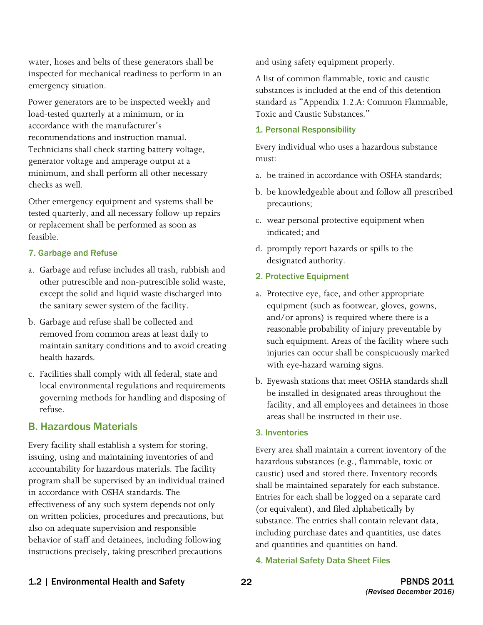water, hoses and belts of these generators shall be inspected for mechanical readiness to perform in an emergency situation.

Power generators are to be inspected weekly and load-tested quarterly at a minimum, or in accordance with the manufacturer's recommendations and instruction manual. Technicians shall check starting battery voltage, generator voltage and amperage output at a minimum, and shall perform all other necessary checks as well.

Other emergency equipment and systems shall be tested quarterly, and all necessary follow-up repairs or replacement shall be performed as soon as feasible.

#### 7. Garbage and Refuse

- a. Garbage and refuse includes all trash, rubbish and other putrescible and non-putrescible solid waste, except the solid and liquid waste discharged into the sanitary sewer system of the facility.
- b. Garbage and refuse shall be collected and removed from common areas at least daily to maintain sanitary conditions and to avoid creating health hazards.
- c. Facilities shall comply with all federal, state and local environmental regulations and requirements governing methods for handling and disposing of refuse.

## B. Hazardous Materials

Every facility shall establish a system for storing, issuing, using and maintaining inventories of and accountability for hazardous materials. The facility program shall be supervised by an individual trained in accordance with OSHA standards. The effectiveness of any such system depends not only on written policies, procedures and precautions, but also on adequate supervision and responsible behavior of staff and detainees, including following instructions precisely, taking prescribed precautions

and using safety equipment properly.

A list of common flammable, toxic and caustic substances is included at the end of this detention standard as "Appendix 1.2.A: Common Flammable, Toxic and Caustic Substances."

#### 1. Personal Responsibility

Every individual who uses a hazardous substance must:

- a. be trained in accordance with OSHA standards:
- b. be knowledgeable about and follow all prescribed precautions;
- c. wear personal protective equipment when indicated; and
- d. promptly report hazards or spills to the designated authority.

#### 2. Protective Equipment

- a. Protective eye, face, and other appropriate equipment (such as footwear, gloves, gowns, and/or aprons) is required where there is a reasonable probability of injury preventable by such equipment. Areas of the facility where such injuries can occur shall be conspicuously marked with eye-hazard warning signs.
- b. Eyewash stations that meet OSHA standards shall be installed in designated areas throughout the facility, and all employees and detainees in those areas shall be instructed in their use.

#### 3. Inventories

 (or equivalent), and filed alphabetically by Every area shall maintain a current inventory of the hazardous substances (e.g., flammable, toxic or caustic) used and stored there. Inventory records shall be maintained separately for each substance. Entries for each shall be logged on a separate card substance. The entries shall contain relevant data, including purchase dates and quantities, use dates and quantities and quantities on hand.

#### 4. Material Safety Data Sheet Files

### 1.2 | Environmental Health and Safety 22 **PBNDS 2011**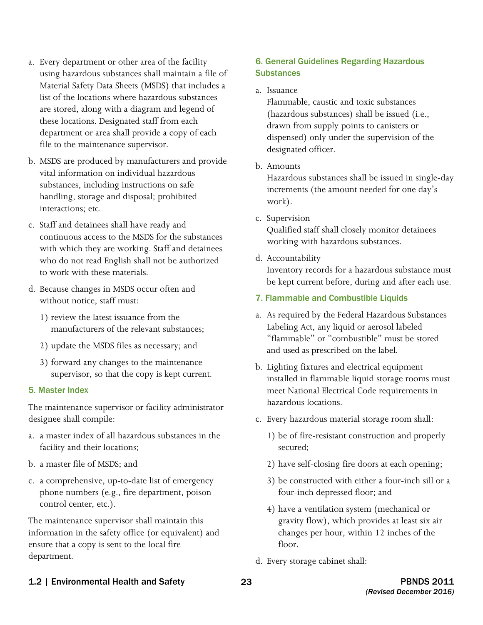- a. Every department or other area of the facility using hazardous substances shall maintain a file of Material Safety Data Sheets (MSDS) that includes a list of the locations where hazardous substances are stored, along with a diagram and legend of these locations. Designated staff from each department or area shall provide a copy of each file to the maintenance supervisor.
- b. MSDS are produced by manufacturers and provide vital information on individual hazardous substances, including instructions on safe handling, storage and disposal; prohibited interactions; etc.
- c. Staff and detainees shall have ready and continuous access to the MSDS for the substances with which they are working. Staff and detainees who do not read English shall not be authorized to work with these materials.
- d. Because changes in MSDS occur often and without notice, staff must:
	- 1) review the latest issuance from the manufacturers of the relevant substances;
	- 2) update the MSDS files as necessary; and
	- 3) forward any changes to the maintenance supervisor, so that the copy is kept current.

#### 5. Master Index

The maintenance supervisor or facility administrator designee shall compile:

- a. a master index of all hazardous substances in the facility and their locations;
- b. a master file of MSDS; and
- c. a comprehensive, up-to-date list of emergency phone numbers (e.g., fire department, poison control center, etc.).

The maintenance supervisor shall maintain this information in the safety office (or equivalent) and ensure that a copy is sent to the local fire department.

### 6. General Guidelines Regarding Hazardous **Substances**

#### a. Issuance

Flammable, caustic and toxic substances (hazardous substances) shall be issued (i.e., drawn from supply points to canisters or dispensed) only under the supervision of the designated officer.

b. Amounts

 Hazardous substances shall be issued in single-day increments (the amount needed for one day's work).

c. Supervision

Qualified staff shall closely monitor detainees working with hazardous substances.

d. Accountability

Inventory records for a hazardous substance must be kept current before, during and after each use.

### 7. Flammable and Combustible Liquids

- a. As required by the Federal Hazardous Substances Labeling Act, any liquid or aerosol labeled "flammable" or "combustible" must be stored and used as prescribed on the label.
- b. Lighting fixtures and electrical equipment installed in flammable liquid storage rooms must meet National Electrical Code requirements in hazardous locations.
- c. Every hazardous material storage room shall:
	- 1) be of fire-resistant construction and properly secured;
	- 2) have self-closing fire doors at each opening;
	- 3) be constructed with either a four-inch sill or a four-inch depressed floor; and
	- 4) have a ventilation system (mechanical or gravity flow), which provides at least six air changes per hour, within 12 inches of the floor.
- d. Every storage cabinet shall:

## 1.2 | Environmental Health and Safety 23 23 PBNDS 2011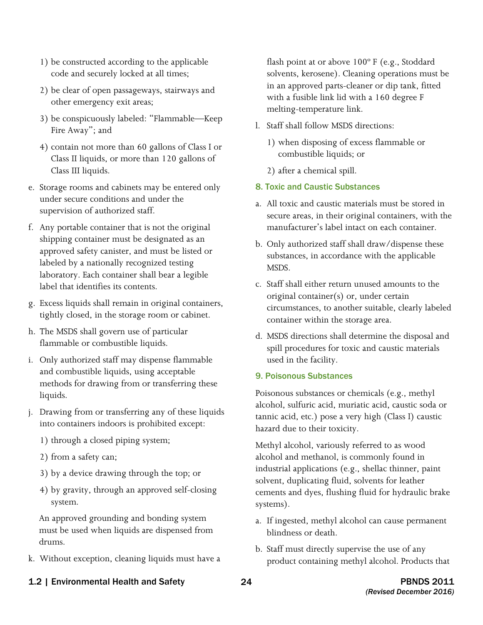- 1) be constructed according to the applicable code and securely locked at all times;
- 2) be clear of open passageways, stairways and other emergency exit areas;
- 3) be conspicuously labeled: "Flammable—Keep Fire Away"; and
- 4) contain not more than 60 gallons of Class I or Class II liquids, or more than 120 gallons of Class III liquids.
- e. Storage rooms and cabinets may be entered only under secure conditions and under the supervision of authorized staff.
- f. Any portable container that is not the original shipping container must be designated as an approved safety canister, and must be listed or labeled by a nationally recognized testing laboratory. Each container shall bear a legible label that identifies its contents.
- g. Excess liquids shall remain in original containers, tightly closed, in the storage room or cabinet.
- h. The MSDS shall govern use of particular flammable or combustible liquids.
- i. Only authorized staff may dispense flammable and combustible liquids, using acceptable methods for drawing from or transferring these liquids.
- j. Drawing from or transferring any of these liquids into containers indoors is prohibited except:
	- 1) through a closed piping system;
	- 2) from a safety can;
	- 3) by a device drawing through the top; or
	- 4) by gravity, through an approved self-closing system.

An approved grounding and bonding system must be used when liquids are dispensed from drums.

k. Without exception, cleaning liquids must have a

flash point at or above 100º F (e.g., Stoddard solvents, kerosene). Cleaning operations must be in an approved parts-cleaner or dip tank, fitted with a fusible link lid with a 160 degree F melting-temperature link.

- l. Staff shall follow MSDS directions:
	- 1) when disposing of excess flammable or combustible liquids; or
	- 2) after a chemical spill.
- 8. Toxic and Caustic Substances
- a. All toxic and caustic materials must be stored in secure areas, in their original containers, with the manufacturer's label intact on each container.
- b. Only authorized staff shall draw/dispense these substances, in accordance with the applicable MSDS.
- c. Staff shall either return unused amounts to the original container(s) or, under certain circumstances, to another suitable, clearly labeled container within the storage area.
- d. MSDS directions shall determine the disposal and spill procedures for toxic and caustic materials used in the facility.

#### 9. Poisonous Substances

Poisonous substances or chemicals (e.g., methyl alcohol, sulfuric acid, muriatic acid, caustic soda or tannic acid, etc.) pose a very high (Class I) caustic hazard due to their toxicity.

Methyl alcohol, variously referred to as wood alcohol and methanol, is commonly found in industrial applications (e.g., shellac thinner, paint solvent, duplicating fluid, solvents for leather cements and dyes, flushing fluid for hydraulic brake systems).

- a. If ingested, methyl alcohol can cause permanent blindness or death.
- b. Staff must directly supervise the use of any product containing methyl alcohol. Products that
- 1.2 | Environmental Health and Safety **24** 24 **PBNDS 2011**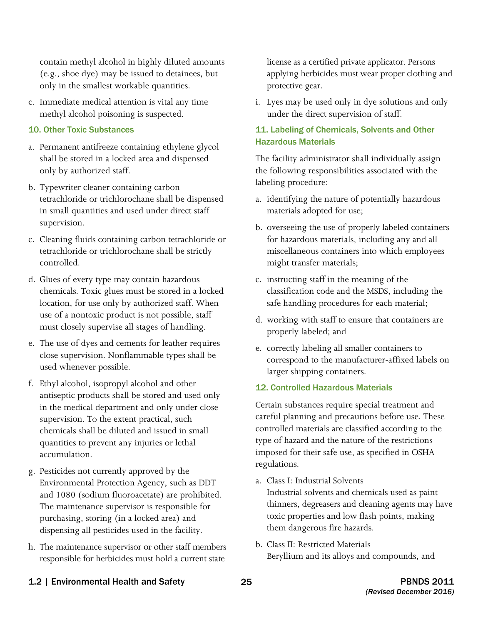contain methyl alcohol in highly diluted amounts (e.g., shoe dye) may be issued to detainees, but only in the smallest workable quantities.

c. Immediate medical attention is vital any time methyl alcohol poisoning is suspected.

#### 10. Other Toxic Substances

- a. Permanent antifreeze containing ethylene glycol shall be stored in a locked area and dispensed only by authorized staff.
- b. Typewriter cleaner containing carbon tetrachloride or trichlorochane shall be dispensed in small quantities and used under direct staff supervision.
- c. Cleaning fluids containing carbon tetrachloride or tetrachloride or trichlorochane shall be strictly controlled.
- d. Glues of every type may contain hazardous chemicals. Toxic glues must be stored in a locked location, for use only by authorized staff. When use of a nontoxic product is not possible, staff must closely supervise all stages of handling.
- e. The use of dyes and cements for leather requires close supervision. Nonflammable types shall be used whenever possible.
- in the medical department and only under close f. Ethyl alcohol, isopropyl alcohol and other antiseptic products shall be stored and used only supervision. To the extent practical, such chemicals shall be diluted and issued in small quantities to prevent any injuries or lethal accumulation.
- purchasing, storing (in a locked area) and g. Pesticides not currently approved by the Environmental Protection Agency, such as DDT and 1080 (sodium fluoroacetate) are prohibited. The maintenance supervisor is responsible for dispensing all pesticides used in the facility.
- h. The maintenance supervisor or other staff members responsible for herbicides must hold a current state

 applying herbicides must wear proper clothing and license as a certified private applicator. Persons protective gear.

i. Lyes may be used only in dye solutions and only under the direct supervision of staff.

#### 11. Labeling of Chemicals, Solvents and Other Hazardous Materials

The facility administrator shall individually assign the following responsibilities associated with the labeling procedure:

- a. identifying the nature of potentially hazardous materials adopted for use;
- b. overseeing the use of properly labeled containers for hazardous materials, including any and all miscellaneous containers into which employees might transfer materials;
- c. instructing staff in the meaning of the classification code and the MSDS, including the safe handling procedures for each material;
- d. working with staff to ensure that containers are properly labeled; and
- e. correctly labeling all smaller containers to correspond to the manufacturer-affixed labels on larger shipping containers.

#### 12. Controlled Hazardous Materials

Certain substances require special treatment and careful planning and precautions before use. These controlled materials are classified according to the type of hazard and the nature of the restrictions imposed for their safe use, as specified in OSHA regulations.

- Industrial solvents and chemicals used as paint thinners, degreasers and cleaning agents may have toxic properties and low flash points, making a. Class I: Industrial Solvents them dangerous fire hazards.
- b. Class II: Restricted Materials Beryllium and its alloys and compounds, and
- 1.2 | Environmental Health and Safety 25 25 PBNDS 2011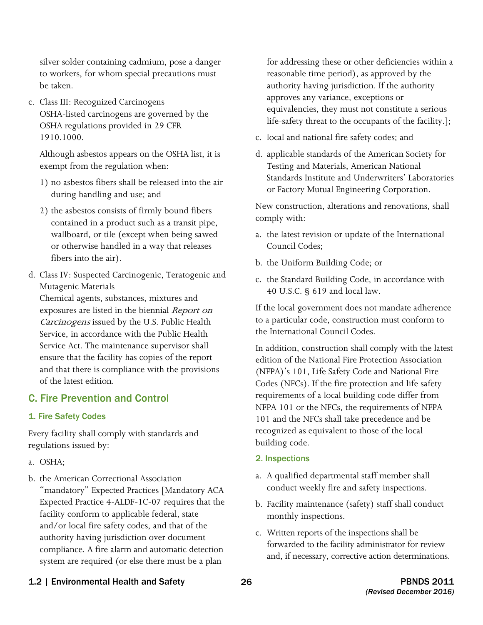silver solder containing cadmium, pose a danger to workers, for whom special precautions must be taken.

c. Class III: Recognized Carcinogens OSHA-listed carcinogens are governed by the OSHA regulations provided in 29 CFR 1910.1000.

Although asbestos appears on the OSHA list, it is exempt from the regulation when:

- 1) no asbestos fibers shall be released into the air during handling and use; and
- 2) the asbestos consists of firmly bound fibers contained in a product such as a transit pipe, wallboard, or tile (except when being sawed or otherwise handled in a way that releases fibers into the air).
- d. Class IV: Suspected Carcinogenic, Teratogenic and Mutagenic Materials

Chemical agents, substances, mixtures and exposures are listed in the biennial Report on Carcinogens issued by the U.S. Public Health Service, in accordance with the Public Health Service Act. The maintenance supervisor shall ensure that the facility has copies of the report and that there is compliance with the provisions of the latest edition.

## C. Fire Prevention and Control

#### 1. Fire Safety Codes

Every facility shall comply with standards and regulations issued by:

- a. OSHA:
- b. the American Correctional Association "mandatory" Expected Practices [Mandatory ACA Expected Practice 4-ALDF-1C-07 requires that the facility conform to applicable federal, state and/or local fire safety codes, and that of the authority having jurisdiction over document compliance. A fire alarm and automatic detection system are required (or else there must be a plan

for addressing these or other deficiencies within a reasonable time period), as approved by the authority having jurisdiction. If the authority approves any variance, exceptions or equivalencies, they must not constitute a serious life-safety threat to the occupants of the facility.];

- c. local and national fire safety codes; and
- d. applicable standards of the American Society for Testing and Materials, American National Standards Institute and Underwriters' Laboratories or Factory Mutual Engineering Corporation.

New construction, alterations and renovations, shall comply with:

- a. the latest revision or update of the International Council Codes;
- b. the Uniform Building Code; or
- c. the Standard Building Code, in accordance with 40 U.S.C. § 619 and local law.

If the local government does not mandate adherence to a particular code, construction must conform to the International Council Codes.

 101 and the NFCs shall take precedence and be In addition, construction shall comply with the latest edition of the National Fire Protection Association (NFPA)'s 101, Life Safety Code and National Fire Codes (NFCs). If the fire protection and life safety requirements of a local building code differ from NFPA 101 or the NFCs, the requirements of NFPA recognized as equivalent to those of the local building code.

- 2. Inspections
- a. A qualified departmental staff member shall conduct weekly fire and safety inspections.
- b. Facility maintenance (safety) staff shall conduct monthly inspections.
- c. Written reports of the inspections shall be forwarded to the facility administrator for review and, if necessary, corrective action determinations.

## 1.2 | Environmental Health and Safety 26 26 The Second Late of the Second PBNDS 2011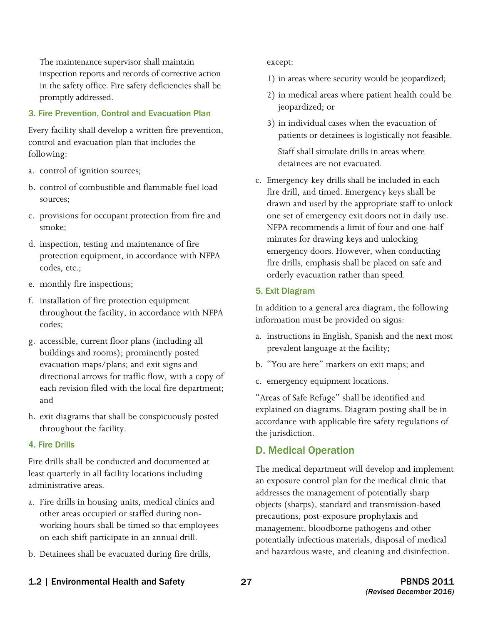inspection reports and records of corrective action The maintenance supervisor shall maintain in the safety office. Fire safety deficiencies shall be promptly addressed.

#### 3. Fire Prevention, Control and Evacuation Plan

Every facility shall develop a written fire prevention, control and evacuation plan that includes the following:

- a. control of ignition sources;
- b. control of combustible and flammable fuel load sources;
- c. provisions for occupant protection from fire and smoke;
- d. inspection, testing and maintenance of fire protection equipment, in accordance with NFPA codes, etc.;
- e. monthly fire inspections;
- f. installation of fire protection equipment throughout the facility, in accordance with NFPA codes;
- g. accessible, current floor plans (including all buildings and rooms); prominently posted evacuation maps/plans; and exit signs and directional arrows for traffic flow, with a copy of each revision filed with the local fire department; and
- h. exit diagrams that shall be conspicuously posted throughout the facility.

#### 4. Fire Drills

Fire drills shall be conducted and documented at least quarterly in all facility locations including administrative areas.

- a. Fire drills in housing units, medical clinics and other areas occupied or staffed during nonworking hours shall be timed so that employees on each shift participate in an annual drill.
- b. Detainees shall be evacuated during fire drills,

except:

- 1) in areas where security would be jeopardized;
- jeopardized; or 2) in medical areas where patient health could be
- 3) in individual cases when the evacuation of patients or detainees is logistically not feasible.

Staff shall simulate drills in areas where detainees are not evacuated.

c. Emergency-key drills shall be included in each fire drill, and timed. Emergency keys shall be drawn and used by the appropriate staff to unlock one set of emergency exit doors not in daily use. NFPA recommends a limit of four and one-half minutes for drawing keys and unlocking emergency doors. However, when conducting fire drills, emphasis shall be placed on safe and orderly evacuation rather than speed.

#### 5. Exit Diagram

In addition to a general area diagram, the following information must be provided on signs:

- a. instructions in English, Spanish and the next most prevalent language at the facility;
- b. "You are here" markers on exit maps; and
- c. emergency equipment locations.

"Areas of Safe Refuge" shall be identified and explained on diagrams. Diagram posting shall be in accordance with applicable fire safety regulations of the jurisdiction.

### D. Medical Operation

The medical department will develop and implement an exposure control plan for the medical clinic that addresses the management of potentially sharp objects (sharps), standard and transmission-based precautions, post-exposure prophylaxis and management, bloodborne pathogens and other potentially infectious materials, disposal of medical and hazardous waste, and cleaning and disinfection.

#### 1.2 | Environmental Health and Safety 27 27 PBNDS 2011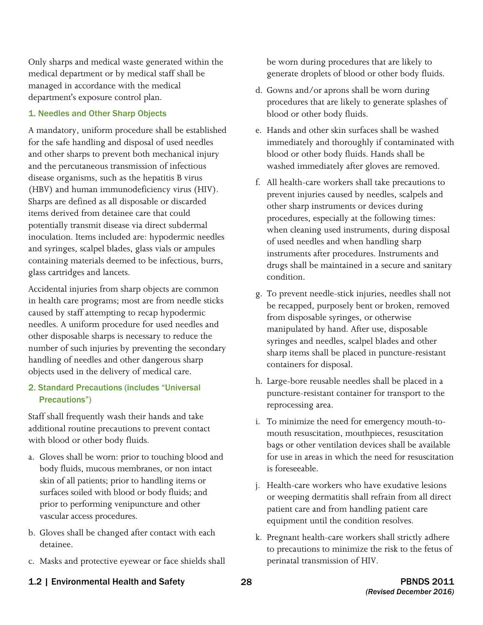Only sharps and medical waste generated within the medical department or by medical staff shall be managed in accordance with the medical department's exposure control plan.

#### 1. Needles and Other Sharp Objects

A mandatory, uniform procedure shall be established for the safe handling and disposal of used needles and other sharps to prevent both mechanical injury and the percutaneous transmission of infectious disease organisms, such as the hepatitis B virus (HBV) and human immunodeficiency virus (HIV). Sharps are defined as all disposable or discarded items derived from detainee care that could potentially transmit disease via direct subdermal inoculation. Items included are: hypodermic needles and syringes, scalpel blades, glass vials or ampules containing materials deemed to be infectious, burrs, glass cartridges and lancets.

Accidental injuries from sharp objects are common in health care programs; most are from needle sticks caused by staff attempting to recap hypodermic needles. A uniform procedure for used needles and other disposable sharps is necessary to reduce the number of such injuries by preventing the secondary handling of needles and other dangerous sharp objects used in the delivery of medical care.

#### 2. Standard Precautions (includes "Universal Precautions")

Staff shall frequently wash their hands and take additional routine precautions to prevent contact with blood or other body fluids.

- a. Gloves shall be worn: prior to touching blood and body fluids, mucous membranes, or non intact skin of all patients; prior to handling items or surfaces soiled with blood or body fluids; and prior to performing venipuncture and other vascular access procedures.
- b. Gloves shall be changed after contact with each detainee.
- c. Masks and protective eyewear or face shields shall

be worn during procedures that are likely to generate droplets of blood or other body fluids.

- d. Gowns and/or aprons shall be worn during procedures that are likely to generate splashes of blood or other body fluids.
- e. Hands and other skin surfaces shall be washed immediately and thoroughly if contaminated with blood or other body fluids. Hands shall be washed immediately after gloves are removed.
- f. All health-care workers shall take precautions to prevent injuries caused by needles, scalpels and other sharp instruments or devices during procedures, especially at the following times: when cleaning used instruments, during disposal of used needles and when handling sharp instruments after procedures. Instruments and drugs shall be maintained in a secure and sanitary condition.
- g. To prevent needle-stick injuries, needles shall not be recapped, purposely bent or broken, removed from disposable syringes, or otherwise manipulated by hand. After use, disposable syringes and needles, scalpel blades and other sharp items shall be placed in puncture-resistant containers for disposal.
- h. Large-bore reusable needles shall be placed in a puncture-resistant container for transport to the reprocessing area.
- i. To minimize the need for emergency mouth-to for use in areas in which the need for resuscitation mouth resuscitation, mouthpieces, resuscitation bags or other ventilation devices shall be available is foreseeable.
- j. Health-care workers who have exudative lesions or weeping dermatitis shall refrain from all direct patient care and from handling patient care equipment until the condition resolves.
- k. Pregnant health-care workers shall strictly adhere to precautions to minimize the risk to the fetus of perinatal transmission of HIV.
- 1.2 | Environmental Health and Safety 28 28 PBNDS 2011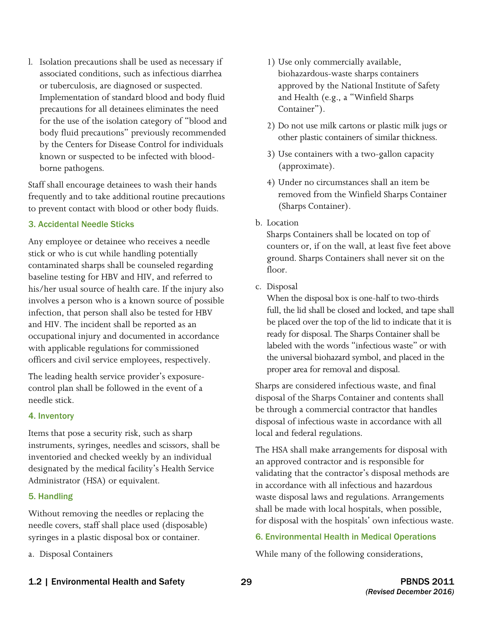for the use of the isolation category of "blood and l. Isolation precautions shall be used as necessary if associated conditions, such as infectious diarrhea or tuberculosis, are diagnosed or suspected. Implementation of standard blood and body fluid precautions for all detainees eliminates the need body fluid precautions" previously recommended by the Centers for Disease Control for individuals known or suspected to be infected with bloodborne pathogens.

Staff shall encourage detainees to wash their hands frequently and to take additional routine precautions to prevent contact with blood or other body fluids.

#### 3. Accidental Needle Sticks

Any employee or detainee who receives a needle stick or who is cut while handling potentially contaminated sharps shall be counseled regarding baseline testing for HBV and HIV, and referred to his/her usual source of health care. If the injury also involves a person who is a known source of possible infection, that person shall also be tested for HBV and HIV. The incident shall be reported as an occupational injury and documented in accordance with applicable regulations for commissioned officers and civil service employees, respectively.

The leading health service provider's exposurecontrol plan shall be followed in the event of a needle stick.

#### 4. Inventory

Items that pose a security risk, such as sharp instruments, syringes, needles and scissors, shall be inventoried and checked weekly by an individual designated by the medical facility's Health Service Administrator (HSA) or equivalent.

#### 5. Handling

Without removing the needles or replacing the needle covers, staff shall place used (disposable) syringes in a plastic disposal box or container.

a. Disposal Containers

- 1) Use only commercially available, biohazardous-waste sharps containers approved by the National Institute of Safety and Health (e.g., a "Winfield Sharps Container").
- 2) Do not use milk cartons or plastic milk jugs or other plastic containers of similar thickness.
- 3) Use containers with a two-gallon capacity (approximate).
- 4) Under no circumstances shall an item be removed from the Winfield Sharps Container (Sharps Container).
- b. Location

Sharps Containers shall be located on top of counters or, if on the wall, at least five feet above ground. Sharps Containers shall never sit on the floor.

c. Disposal

 When the disposal box is one-half to two-thirds be placed over the top of the lid to indicate that it is ready for disposal. The Sharps Container shall be the universal biohazard symbol, and placed in the full, the lid shall be closed and locked, and tape shall labeled with the words "infectious waste" or with proper area for removal and disposal.

Sharps are considered infectious waste, and final disposal of the Sharps Container and contents shall be through a commercial contractor that handles disposal of infectious waste in accordance with all local and federal regulations.

The HSA shall make arrangements for disposal with an approved contractor and is responsible for validating that the contractor's disposal methods are in accordance with all infectious and hazardous waste disposal laws and regulations. Arrangements shall be made with local hospitals, when possible, for disposal with the hospitals' own infectious waste.

#### 6. Environmental Health in Medical Operations

While many of the following considerations,

1.2 | Environmental Health and Safety 29 29 PBNDS 2011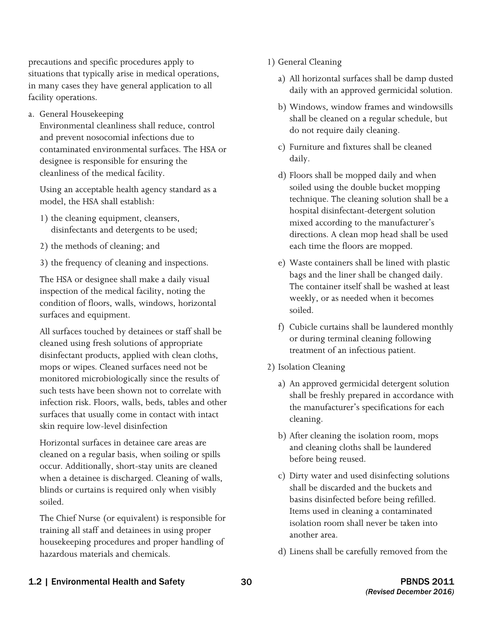precautions and specific procedures apply to situations that typically arise in medical operations, in many cases they have general application to all facility operations.

a. General Housekeeping

Environmental cleanliness shall reduce, control and prevent nosocomial infections due to contaminated environmental surfaces. The HSA or designee is responsible for ensuring the cleanliness of the medical facility.

Using an acceptable health agency standard as a model, the HSA shall establish:

- 1) the cleaning equipment, cleansers, disinfectants and detergents to be used;
- 2) the methods of cleaning; and
- 3) the frequency of cleaning and inspections.

The HSA or designee shall make a daily visual inspection of the medical facility, noting the condition of floors, walls, windows, horizontal surfaces and equipment.

All surfaces touched by detainees or staff shall be cleaned using fresh solutions of appropriate disinfectant products, applied with clean cloths, mops or wipes. Cleaned surfaces need not be monitored microbiologically since the results of such tests have been shown not to correlate with infection risk. Floors, walls, beds, tables and other surfaces that usually come in contact with intact skin require low-level disinfection

Horizontal surfaces in detainee care areas are cleaned on a regular basis, when soiling or spills occur. Additionally, short-stay units are cleaned when a detainee is discharged. Cleaning of walls, blinds or curtains is required only when visibly soiled.

The Chief Nurse (or equivalent) is responsible for training all staff and detainees in using proper housekeeping procedures and proper handling of hazardous materials and chemicals.

- 1) General Cleaning
	- a) All horizontal surfaces shall be damp dusted daily with an approved germicidal solution.
	- b) Windows, window frames and windowsills shall be cleaned on a regular schedule, but do not require daily cleaning.
	- c) Furniture and fixtures shall be cleaned daily.
	- d) Floors shall be mopped daily and when soiled using the double bucket mopping technique. The cleaning solution shall be a hospital disinfectant-detergent solution mixed according to the manufacturer's directions. A clean mop head shall be used each time the floors are mopped.
	- e) Waste containers shall be lined with plastic bags and the liner shall be changed daily. The container itself shall be washed at least weekly, or as needed when it becomes soiled.
	- f) Cubicle curtains shall be laundered monthly or during terminal cleaning following treatment of an infectious patient.
- 2) Isolation Cleaning
	- a) An approved germicidal detergent solution shall be freshly prepared in accordance with the manufacturer's specifications for each cleaning.
	- b) After cleaning the isolation room, mops and cleaning cloths shall be laundered before being reused.
	- c) Dirty water and used disinfecting solutions shall be discarded and the buckets and basins disinfected before being refilled. Items used in cleaning a contaminated isolation room shall never be taken into another area.
	- d) Linens shall be carefully removed from the

### 1.2 | Environmental Health and Safety 30 30 PBNDS 2011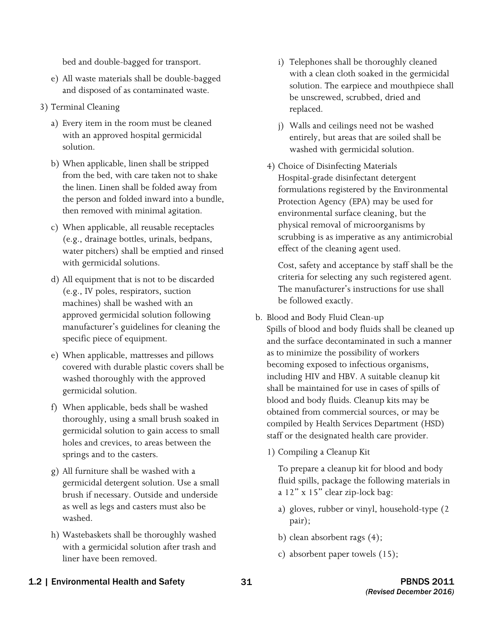bed and double-bagged for transport.

- e) All waste materials shall be double-bagged and disposed of as contaminated waste.
- 3) Terminal Cleaning
	- a) Every item in the room must be cleaned with an approved hospital germicidal solution.
	- b) When applicable, linen shall be stripped from the bed, with care taken not to shake the linen. Linen shall be folded away from the person and folded inward into a bundle, then removed with minimal agitation.
	- c) When applicable, all reusable receptacles (e.g., drainage bottles, urinals, bedpans, water pitchers) shall be emptied and rinsed with germicidal solutions.
	- d) All equipment that is not to be discarded (e.g., IV poles, respirators, suction machines) shall be washed with an approved germicidal solution following manufacturer's guidelines for cleaning the specific piece of equipment.
	- e) When applicable, mattresses and pillows covered with durable plastic covers shall be washed thoroughly with the approved germicidal solution.
	- f) When applicable, beds shall be washed thoroughly, using a small brush soaked in germicidal solution to gain access to small holes and crevices, to areas between the springs and to the casters.
	- g) All furniture shall be washed with a germicidal detergent solution. Use a small brush if necessary. Outside and underside as well as legs and casters must also be washed.
	- h) Wastebaskets shall be thoroughly washed with a germicidal solution after trash and liner have been removed.
- i) Telephones shall be thoroughly cleaned with a clean cloth soaked in the germicidal solution. The earpiece and mouthpiece shall be unscrewed, scrubbed, dried and replaced.
- j) Walls and ceilings need not be washed entirely, but areas that are soiled shall be washed with germicidal solution.
- 4) Choice of Disinfecting Materials Hospital-grade disinfectant detergent formulations registered by the Environmental Protection Agency (EPA) may be used for environmental surface cleaning, but the physical removal of microorganisms by scrubbing is as imperative as any antimicrobial effect of the cleaning agent used.

Cost, safety and acceptance by staff shall be the criteria for selecting any such registered agent. The manufacturer's instructions for use shall be followed exactly.

- b. Blood and Body Fluid Clean-up Spills of blood and body fluids shall be cleaned up and the surface decontaminated in such a manner as to minimize the possibility of workers becoming exposed to infectious organisms, including HIV and HBV. A suitable cleanup kit shall be maintained for use in cases of spills of blood and body fluids. Cleanup kits may be obtained from commercial sources, or may be compiled by Health Services Department (HSD) staff or the designated health care provider.
	- 1) Compiling a Cleanup Kit

To prepare a cleanup kit for blood and body fluid spills, package the following materials in a 12" x 15" clear zip-lock bag:

- a) gloves, rubber or vinyl, household-type (2 pair);
- b) clean absorbent rags (4);
- c) absorbent paper towels (15);

#### 1.2 | Environmental Health and Safety **31** PBNDS 2011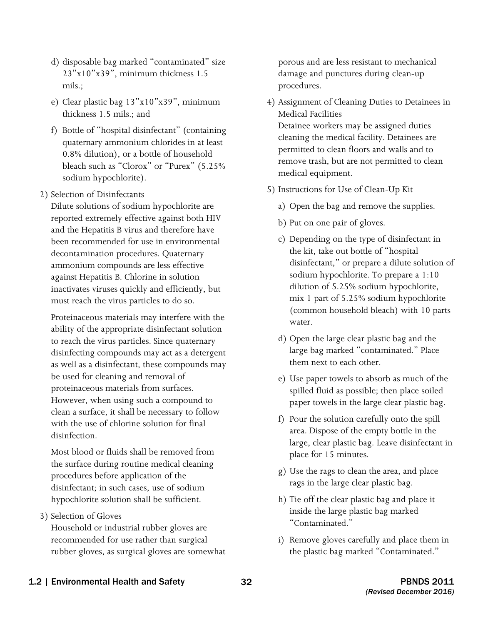- d) disposable bag marked "contaminated" size 23"x10"x39", minimum thickness 1.5 mils ·
- e) Clear plastic bag 13"x10"x39", minimum thickness 1.5 mils.; and
- f) Bottle of "hospital disinfectant" (containing quaternary ammonium chlorides in at least 0.8% dilution), or a bottle of household bleach such as "Clorox" or "Purex" (5.25% sodium hypochlorite).
- 2) Selection of Disinfectants

Dilute solutions of sodium hypochlorite are reported extremely effective against both HIV and the Hepatitis B virus and therefore have been recommended for use in environmental decontamination procedures. Quaternary ammonium compounds are less effective against Hepatitis B. Chlorine in solution inactivates viruses quickly and efficiently, but must reach the virus particles to do so.

Proteinaceous materials may interfere with the ability of the appropriate disinfectant solution to reach the virus particles. Since quaternary disinfecting compounds may act as a detergent as well as a disinfectant, these compounds may be used for cleaning and removal of proteinaceous materials from surfaces. However, when using such a compound to clean a surface, it shall be necessary to follow with the use of chlorine solution for final disinfection.

 the surface during routine medical cleaning Most blood or fluids shall be removed from procedures before application of the disinfectant; in such cases, use of sodium hypochlorite solution shall be sufficient.

3) Selection of Gloves

Household or industrial rubber gloves are recommended for use rather than surgical rubber gloves, as surgical gloves are somewhat porous and are less resistant to mechanical damage and punctures during clean-up procedures.

- 4) Assignment of Cleaning Duties to Detainees in Medical Facilities Detainee workers may be assigned duties cleaning the medical facility. Detainees are permitted to clean floors and walls and to remove trash, but are not permitted to clean
- 5) Instructions for Use of Clean-Up Kit
	- a) Open the bag and remove the supplies.
	- b) Put on one pair of gloves.

medical equipment.

- the kit, take out bottle of "hospital c) Depending on the type of disinfectant in disinfectant," or prepare a dilute solution of sodium hypochlorite. To prepare a 1:10 dilution of 5.25% sodium hypochlorite, mix 1 part of 5.25% sodium hypochlorite (common household bleach) with 10 parts water.
- d) Open the large clear plastic bag and the large bag marked "contaminated." Place them next to each other.
- e) Use paper towels to absorb as much of the spilled fluid as possible; then place soiled paper towels in the large clear plastic bag.
- f) Pour the solution carefully onto the spill area. Dispose of the empty bottle in the large, clear plastic bag. Leave disinfectant in place for 15 minutes.
- g) Use the rags to clean the area, and place rags in the large clear plastic bag.
- h) Tie off the clear plastic bag and place it inside the large plastic bag marked "Contaminated."
- i) Remove gloves carefully and place them in the plastic bag marked "Contaminated."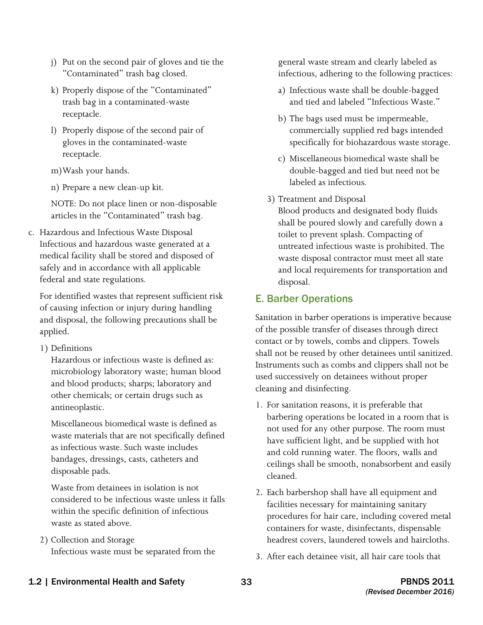- j) Put on the second pair of gloves and tie the "Contaminated" trash bag closed.
- k) Properly dispose of the "Contaminated" trash bag in a contaminated-waste receptacle.
- l) Properly dispose of the second pair of gloves in the contaminated-waste receptacle.
- m)Wash your hands.
- n) Prepare a new clean-up kit.

NOTE: Do not place linen or non-disposable articles in the "Contaminated" trash bag.

c. Hazardous and Infectious Waste Disposal Infectious and hazardous waste generated at a medical facility shall be stored and disposed of safely and in accordance with all applicable federal and state regulations.

For identified wastes that represent sufficient risk of causing infection or injury during handling and disposal, the following precautions shall be applied.

1) Definitions

Hazardous or infectious waste is defined as: microbiology laboratory waste; human blood and blood products; sharps; laboratory and other chemicals; or certain drugs such as antineoplastic.

 as infectious waste. Such waste includes Miscellaneous biomedical waste is defined as waste materials that are not specifically defined bandages, dressings, casts, catheters and disposable pads.

Waste from detainees in isolation is not considered to be infectious waste unless it falls within the specific definition of infectious waste as stated above.

2) Collection and Storage Infectious waste must be separated from the general waste stream and clearly labeled as infectious, adhering to the following practices:

- a) Infectious waste shall be double-bagged and tied and labeled "Infectious Waste."
- b) The bags used must be impermeable, commercially supplied red bags intended specifically for biohazardous waste storage.
- c) Miscellaneous biomedical waste shall be double-bagged and tied but need not be labeled as infectious.
- 3) Treatment and Disposal

Blood products and designated body fluids shall be poured slowly and carefully down a toilet to prevent splash. Compacting of untreated infectious waste is prohibited. The waste disposal contractor must meet all state and local requirements for transportation and disposal.

## E. Barber Operations

Sanitation in barber operations is imperative because of the possible transfer of diseases through direct contact or by towels, combs and clippers. Towels shall not be reused by other detainees until sanitized. Instruments such as combs and clippers shall not be used successively on detainees without proper cleaning and disinfecting.

- 1. For sanitation reasons, it is preferable that barbering operations be located in a room that is not used for any other purpose. The room must have sufficient light, and be supplied with hot and cold running water. The floors, walls and ceilings shall be smooth, nonabsorbent and easily cleaned.
- 2. Each barbershop shall have all equipment and facilities necessary for maintaining sanitary procedures for hair care, including covered metal containers for waste, disinfectants, dispensable headrest covers, laundered towels and haircloths.
- 3. After each detainee visit, all hair care tools that

## 1.2 | Environmental Health and Safety 33 **PBNDS 2011**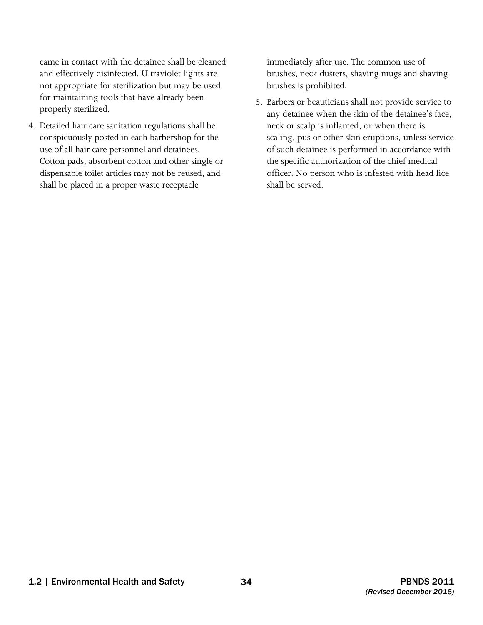came in contact with the detainee shall be cleaned and effectively disinfected. Ultraviolet lights are not appropriate for sterilization but may be used for maintaining tools that have already been properly sterilized.

 4. Detailed hair care sanitation regulations shall be conspicuously posted in each barbershop for the dispensable toilet articles may not be reused, and shall be placed in a proper waste receptacle use of all hair care personnel and detainees. Cotton pads, absorbent cotton and other single or

 brushes, neck dusters, shaving mugs and shaving immediately after use. The common use of brushes is prohibited.

5. Barbers or beauticians shall not provide service to any detainee when the skin of the detainee's face, neck or scalp is inflamed, or when there is scaling, pus or other skin eruptions, unless service of such detainee is performed in accordance with the specific authorization of the chief medical officer. No person who is infested with head lice shall be served.